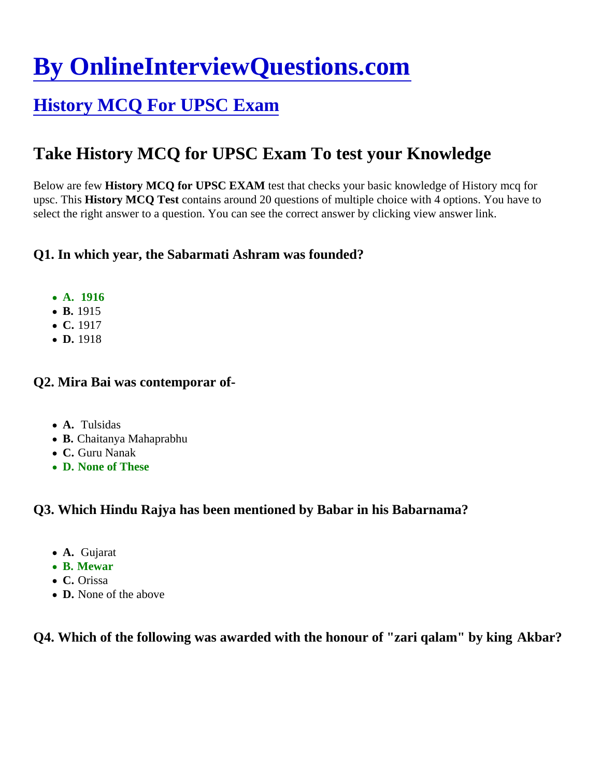# [By OnlineInterviewQuestions.com](https://www.onlineinterviewquestions.com/)

# [History MCQ For UPSC Exam](https://www.onlineinterviewquestions.com/history-mcq-for-upsc/)

# Take History MCQ for UPSC Exam To test your Knowledge

Below are few History MCQ for UPSC EXAM test that checks your basic knowledge of History mcq for upsc. This History MCQ Test contains around 20 questions of multiple choice with 4 options. You have to select the right answer to a question. You can see the correct answer by clicking view answer link.

Q1. In which year, the Sabarmati Ashram was founded?

- A. 1916
- B. 1915
- C. 1917
- D. 1918

Q2. Mira Bai was contemporar of-

- A. Tulsidas
- B. Chaitanya Mahaprabhu
- C. Guru Nanak
- D. None of These

Q3. Which Hindu Rajya has been mentioned by Babar in his Babarnama?

- A. Gujarat
- B. Mewar
- C. Orissa
- D. None of the above

Q4. Which of the following was awarded with the honour of "zari qalam" by king Akbar?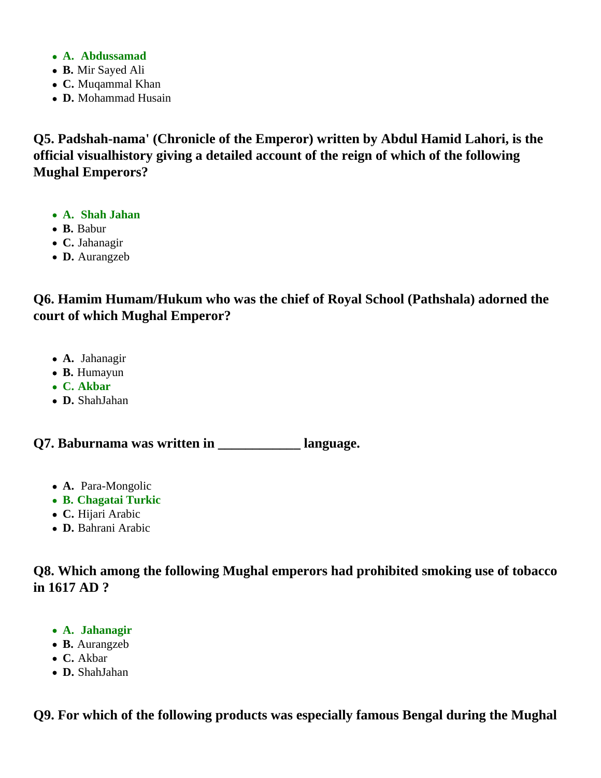- **A. Abdussamad**
- **B.** Mir Sayed Ali
- **C.** Muqammal Khan
- **D.** Mohammad Husain

**Q5. Padshah-nama' (Chronicle of the Emperor) written by Abdul Hamid Lahori, is the official visualhistory giving a detailed account of the reign of which of the following Mughal Emperors?**

- **A. Shah Jahan**
- **B.** Babur
- **C.** Jahanagir
- **D.** Aurangzeb

**Q6. Hamim Humam/Hukum who was the chief of Royal School (Pathshala) adorned the court of which Mughal Emperor?**

- **A.** Jahanagir
- **B.** Humayun
- **C. Akbar**
- **D.** ShahJahan

**Q7. Baburnama was written in \_\_\_\_\_\_\_\_\_\_\_\_ language.**

- **A.** Para-Mongolic
- **B. Chagatai Turkic**
- **C.** Hijari Arabic
- **D.** Bahrani Arabic

**Q8. Which among the following Mughal emperors had prohibited smoking use of tobacco in 1617 AD ?**

- **A. Jahanagir**
- **B.** Aurangzeb
- **C.** Akbar
- **D.** ShahJahan

**Q9. For which of the following products was especially famous Bengal during the Mughal**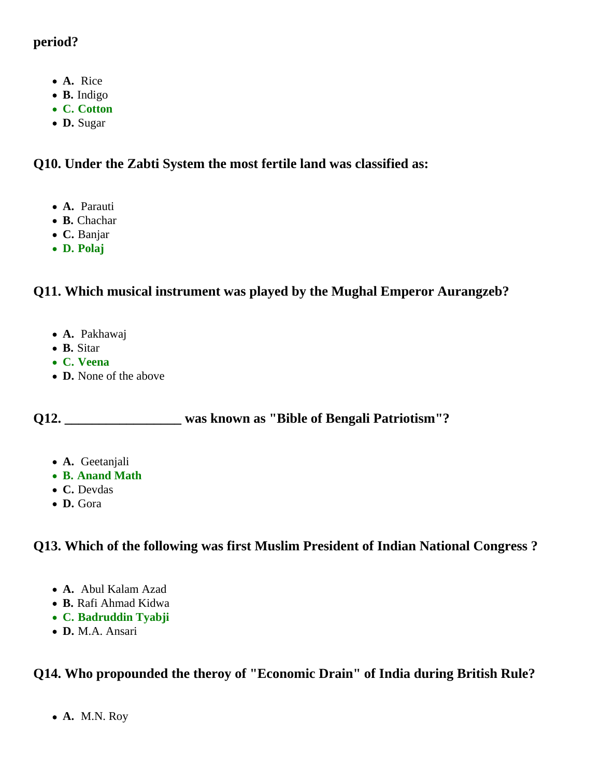### **period?**

- **A.** Rice
- **B.** Indigo
- **C. Cotton**
- **D.** Sugar

# **Q10. Under the Zabti System the most fertile land was classified as:**

- **A.** Parauti
- **B.** Chachar
- **C.** Banjar
- **D. Polaj**

# **Q11. Which musical instrument was played by the Mughal Emperor Aurangzeb?**

- **A.** Pakhawaj
- **B.** Sitar
- **C. Veena**
- **D.** None of the above

**Q12. \_\_\_\_\_\_\_\_\_\_\_\_\_\_\_\_\_ was known as "Bible of Bengali Patriotism"?**

- **A.** Geetanjali
- **B. Anand Math**
- **C.** Devdas
- **D.** Gora

# **Q13. Which of the following was first Muslim President of Indian National Congress ?**

- **A.** Abul Kalam Azad
- **B.** Rafi Ahmad Kidwa
- **C. Badruddin Tyabji**
- **D.** M.A. Ansari

# **Q14. Who propounded the theroy of "Economic Drain" of India during British Rule?**

**A.** M.N. Roy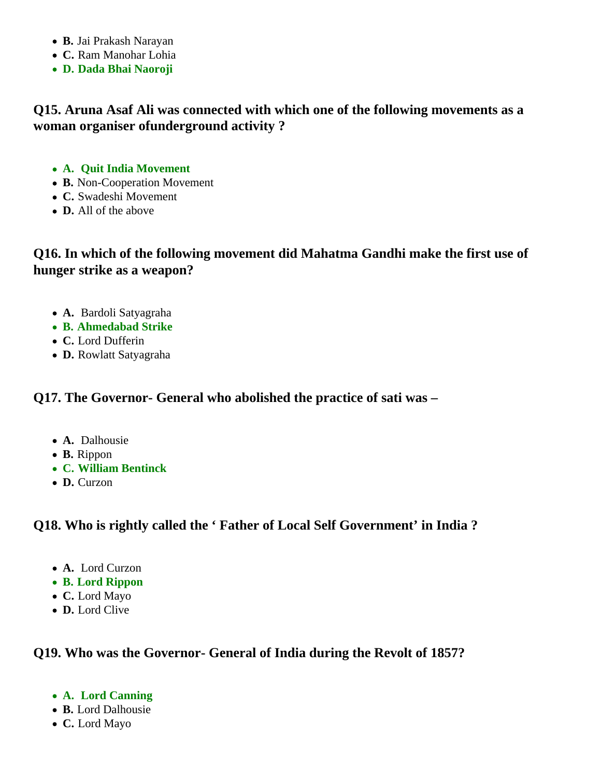- **B.** Jai Prakash Narayan
- **C.** Ram Manohar Lohia
- **D. Dada Bhai Naoroji**

### **Q15. Aruna Asaf Ali was connected with which one of the following movements as a woman organiser ofunderground activity ?**

- **A. Quit India Movement**
- **B.** Non-Cooperation Movement
- **C.** Swadeshi Movement
- **D.** All of the above

## **Q16. In which of the following movement did Mahatma Gandhi make the first use of hunger strike as a weapon?**

- **A.** Bardoli Satyagraha
- **B. Ahmedabad Strike**
- **C.** Lord Dufferin
- **D.** Rowlatt Satyagraha

#### **Q17. The Governor- General who abolished the practice of sati was –**

- **A.** Dalhousie
- **B.** Rippon
- **C. William Bentinck**
- **D.** Curzon

#### **Q18. Who is rightly called the ' Father of Local Self Government' in India ?**

- **A.** Lord Curzon
- **B. Lord Rippon**
- **C.** Lord Mayo
- **D.** Lord Clive

#### **Q19. Who was the Governor- General of India during the Revolt of 1857?**

- **A. Lord Canning**
- **B.** Lord Dalhousie
- **C.** Lord Mayo